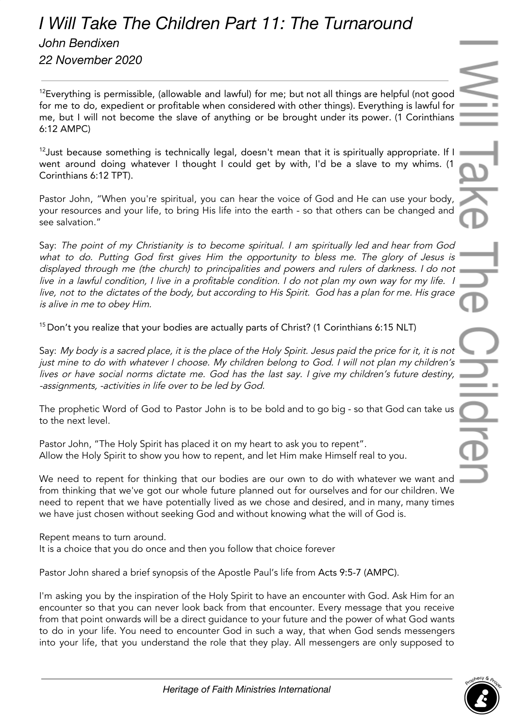## *I Will Take The Children Part 11: The Turnaround*

*John Bendixen 22 November 2020*

 $12$ Everything is permissible, (allowable and lawful) for me; but not all things are helpful (not good for me to do, expedient or profitable when considered with other things). Everything is lawful for me, but I will not become the slave of anything or be brought under its power. (1 Corinthians 6:12 AMPC)

 $12$  Just because something is technically legal, doesn't mean that it is spiritually appropriate. If I went around doing whatever I thought I could get by with, I'd be a slave to my whims. (1 Corinthians 6:12 TPT).

Pastor John, "When you're spiritual, you can hear the voice of God and He can use your body, your resources and your life, to bring His life into the earth - so that others can be changed and see salvation."

Say: The point of my Christianity is to become spiritual. <sup>I</sup> am spiritually led and hear from God what to do. Putting God first <sup>g</sup>ives Him the opportunity to bless me. The <sup>g</sup>lory of Jesus is displayed through me (the church) to principalities and powers and rulers of darkness. <sup>I</sup> do not live in <sup>a</sup> lawful condition, <sup>I</sup> live in <sup>a</sup> profitable condition. <sup>I</sup> do not plan my own way for my life. <sup>I</sup> live, not to the dictates of the body, but according to His Spirit. God has <sup>a</sup> plan for me. His grace is alive in me to obey Him.

 $15$  Don't you realize that your bodies are actually parts of Christ? (1 Corinthians 6:15 NLT)

Say: My body is <sup>a</sup> sacred place, it is the place of the Holy Spirit. Jesus paid the price for it, it is not just mine to do with whatever <sup>I</sup> choose. My children belong to God. <sup>I</sup> will not plan my children's lives or have social norms dictate me. God has the last say. I give my children's future destiny, -assignments, -activities in life over to be led by God.

The prophetic Word of God to Pastor John is to be bold and to go big - so that God can take us to the next level.

Pastor John, "The Holy Spirit has placed it on my heart to ask you to repent". Allow the Holy Spirit to show you how to repent, and let Him make Himself real to you.

We need to repent for thinking that our bodies are our own to do with whatever we want and from thinking that we've got our whole future planned out for ourselves and for our children. We need to repent that we have potentially lived as we chose and desired, and in many, many times we have just chosen without seeking God and without knowing what the will of God is.

Repent means to turn around.

It is a choice that you do once and then you follow that choice forever

Pastor John shared a brief synopsis of the Apostle Paul's life from Acts 9:5-7 (AMPC).

I'm asking you by the inspiration of the Holy Spirit to have an encounter with God. Ask Him for an encounter so that you can never look back from that encounter. Every message that you receive from that point onwards will be a direct guidance to your future and the power of what God wants to do in your life. You need to encounter God in such a way, that when God sends messengers into your life, that you understand the role that they play. All messengers are only supposed to